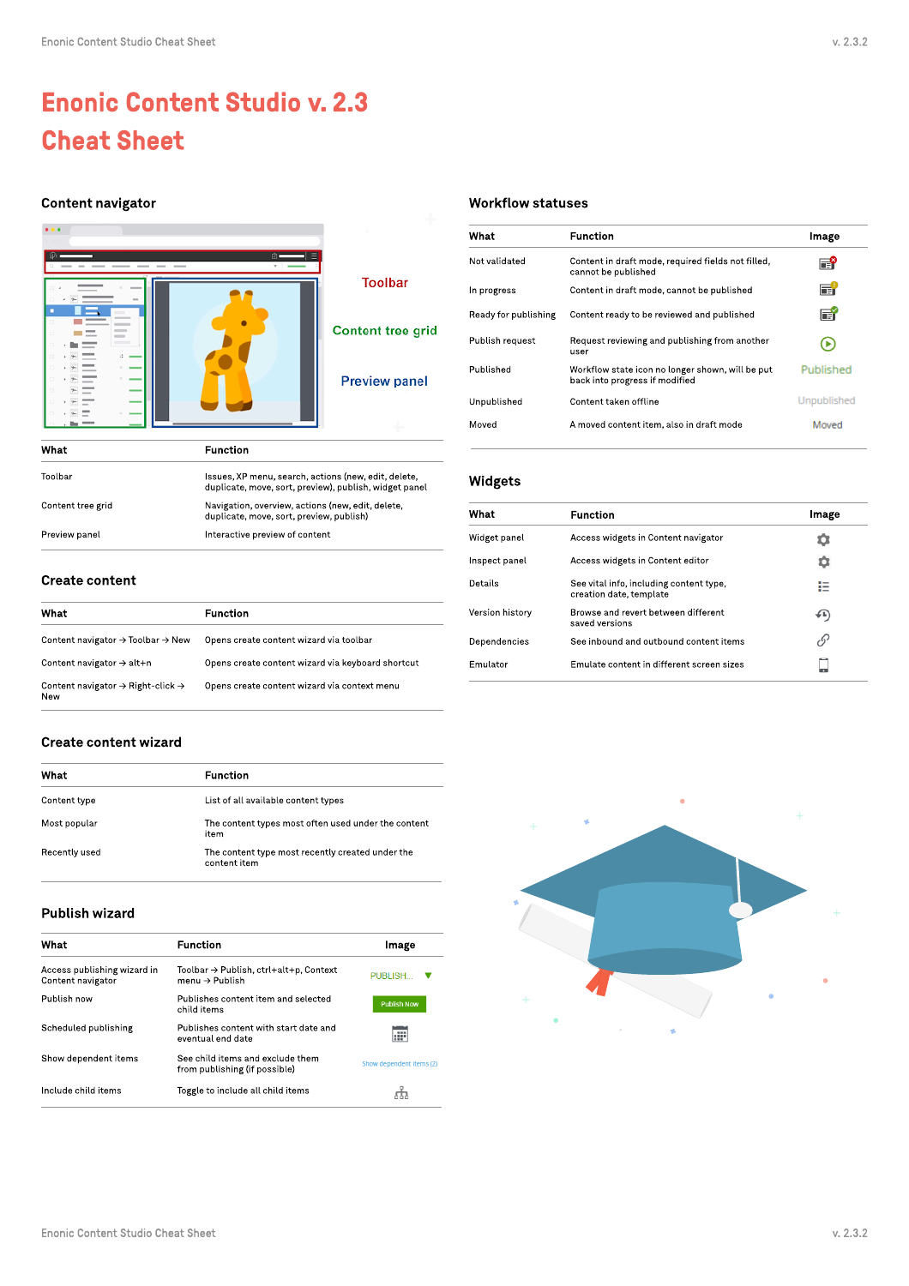# Enonic Content Studio v. 2.3 Cheat Sheet

# Content navigator



| What              | <b>Function</b>                                                                                                |
|-------------------|----------------------------------------------------------------------------------------------------------------|
| Toolbar           | Issues, XP menu, search, actions (new, edit, delete,<br>duplicate, move, sort, preview), publish, widget panel |
| Content tree grid | Navigation, overview, actions (new, edit, delete,<br>duplicate, move, sort, preview, publish)                  |
| Preview panel     | Interactive preview of content                                                                                 |
|                   |                                                                                                                |

# Create content

| What                                                             | Function                                          |
|------------------------------------------------------------------|---------------------------------------------------|
| Content navigator $\rightarrow$ Toolbar $\rightarrow$ New        | Opens create content wizard via toolbar           |
| Content navigator $\rightarrow$ alt+n                            | Opens create content wizard via keyboard shortcut |
| Content navigator $\rightarrow$ Right-click $\rightarrow$<br>New | Opens create content wizard via context menu      |

# Create content wizard

| What          | <b>Function</b>                                                  |
|---------------|------------------------------------------------------------------|
| Content type  | List of all available content types                              |
| Most popular  | The content types most often used under the content<br>item      |
| Recently used | The content type most recently created under the<br>content item |

### Publish wizard

| What                                             | <b>Function</b>                                                                     | Image                    |
|--------------------------------------------------|-------------------------------------------------------------------------------------|--------------------------|
| Access publishing wizard in<br>Content navigator | $Toolbar \rightarrow$ Publish, $ctrl+alt+p$ , Context<br>menu $\rightarrow$ Publish | PUBLISH                  |
| Publish now                                      | Publishes content item and selected<br>child items                                  | <b>Publish Now</b>       |
| Scheduled publishing                             | Publishes content with start date and<br>eventual end date                          | æ                        |
| Show dependent items                             | See child items and exclude them<br>from publishing (if possible)                   | Show dependent items (2) |
| Include child items                              | Toggle to include all child items                                                   |                          |

# Workflow statuses

| What                 | <b>Function</b>                                                                    | Image       |
|----------------------|------------------------------------------------------------------------------------|-------------|
| Not validated        | Content in draft mode, required fields not filled,<br>cannot be published          | ð           |
| In progress          | Content in draft mode, cannot be published                                         | Πi          |
| Ready for publishing | Content ready to be reviewed and published                                         | Πň          |
| Publish request      | Request reviewing and publishing from another<br>user                              |             |
| Published            | Workflow state icon no longer shown, will be put<br>back into progress if modified | Published   |
| Unpublished          | Content taken offline                                                              | Unpublished |
| Moved                | A moved content item, also in draft mode                                           | Moved       |
|                      |                                                                                    |             |

# Widgets

| What            | <b>Function</b>                                                    | Image         |
|-----------------|--------------------------------------------------------------------|---------------|
| Widget panel    | Access widgets in Content navigator                                |               |
| Inspect panel   | Access widgets in Content editor                                   | o             |
| Details         | See vital info, including content type,<br>creation date, template | . .           |
| Version history | Browse and revert between different<br>saved versions              | 6⊾)           |
| Dependencies    | See inbound and outbound content items                             | $\mathcal{E}$ |
| <b>Emulator</b> | Emulate content in different screen sizes                          |               |
|                 |                                                                    |               |